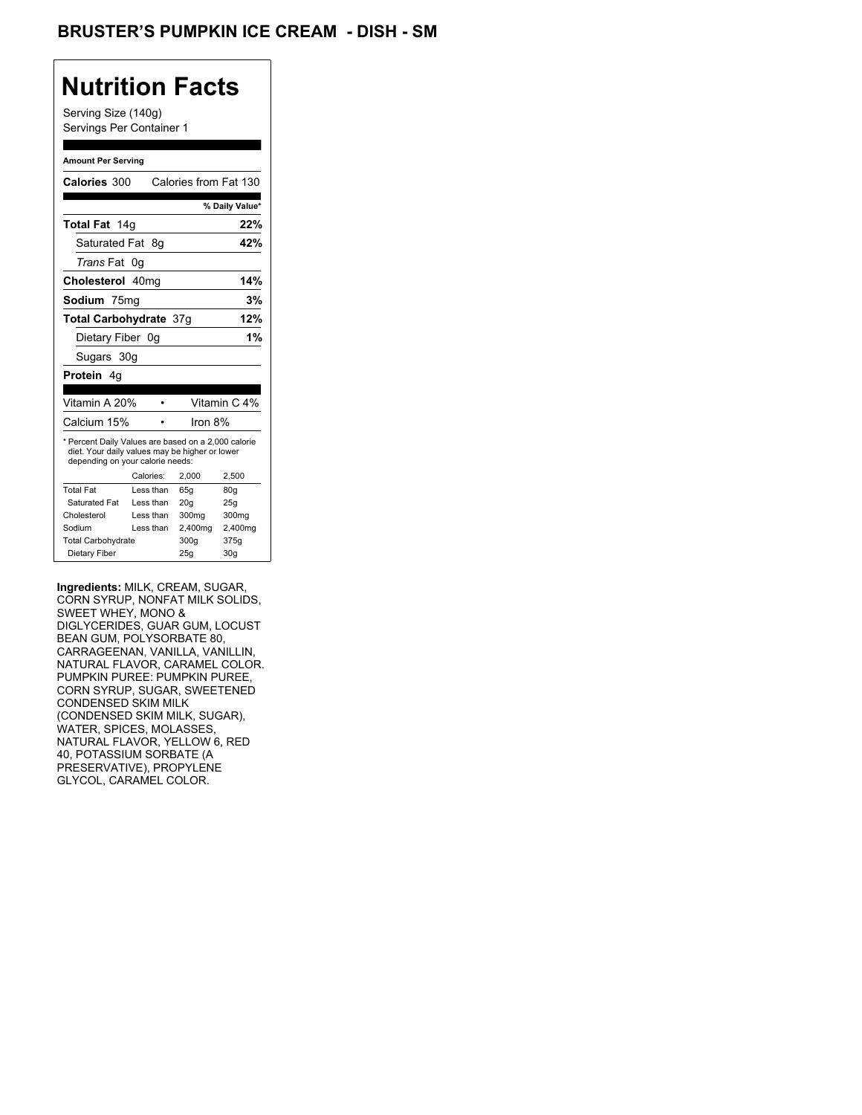## **Nutrition Facts**

Serving Size (140g) Servings Per Container 1

#### **Amount Per Serving**

| <b>Calories 300</b>                                                                                                                       |           |           | Calories from Fat 130 |                 |
|-------------------------------------------------------------------------------------------------------------------------------------------|-----------|-----------|-----------------------|-----------------|
|                                                                                                                                           |           |           |                       | % Daily Value*  |
| Total Fat 14g                                                                                                                             |           |           |                       | 22%             |
| Saturated Fat                                                                                                                             |           | - 8a      |                       | 42%             |
| <i>Trans</i> Fat                                                                                                                          | 0g        |           |                       |                 |
| Cholesterol 40mg                                                                                                                          |           |           |                       | 14%             |
| Sodium 75mg                                                                                                                               |           |           |                       | 3%              |
| <b>Total Carbohydrate 37g</b>                                                                                                             |           |           |                       | 12%             |
| Dietary Fiber 0q                                                                                                                          |           |           |                       | 1%              |
| Sugars 30g                                                                                                                                |           |           |                       |                 |
| <b>Protein</b> 4q                                                                                                                         |           |           |                       |                 |
|                                                                                                                                           |           |           |                       |                 |
| Vitamin A 20%                                                                                                                             |           |           |                       | Vitamin C 4%    |
| Calcium 15%                                                                                                                               |           |           | Iron 8%               |                 |
| * Percent Daily Values are based on a 2,000 calorie<br>diet. Your daily values may be higher or lower<br>depending on your calorie needs: |           |           |                       |                 |
|                                                                                                                                           | Calories: |           | 2.000                 | 2,500           |
| <b>Total Fat</b>                                                                                                                          |           | Less than | 65q                   | 80q             |
| Saturated Fat                                                                                                                             |           | Less than | 20q                   | 25q             |
| Cholesterol                                                                                                                               |           | Less than | 300mg                 | 300mg           |
| Sodium                                                                                                                                    |           | Less than | 2,400mg               | 2,400mg         |
| <b>Total Carbohydrate</b>                                                                                                                 |           |           | 300g                  | 375g            |
| Dietary Fiber                                                                                                                             |           |           | 25q                   | 30 <sub>g</sub> |

**Ingredients:** MILK, CREAM, SUGAR, CORN SYRUP, NONFAT MILK SOLIDS, SWEET WHEY, MONO & DIGLYCERIDES, GUAR GUM, LOCUST BEAN GUM, POLYSORBATE 80, CARRAGEENAN, VANILLA, VANILLIN, NATURAL FLAVOR, CARAMEL COLOR. PUMPKIN PUREE: PUMPKIN PUREE, CORN SYRUP, SUGAR, SWEETENED CONDENSED SKIM MILK (CONDENSED SKIM MILK, SUGAR), WATER, SPICES, MOLASSES, NATURAL FLAVOR, YELLOW 6, RED 40, POTASSIUM SORBATE (A PRESERVATIVE), PROPYLENE GLYCOL, CARAMEL COLOR.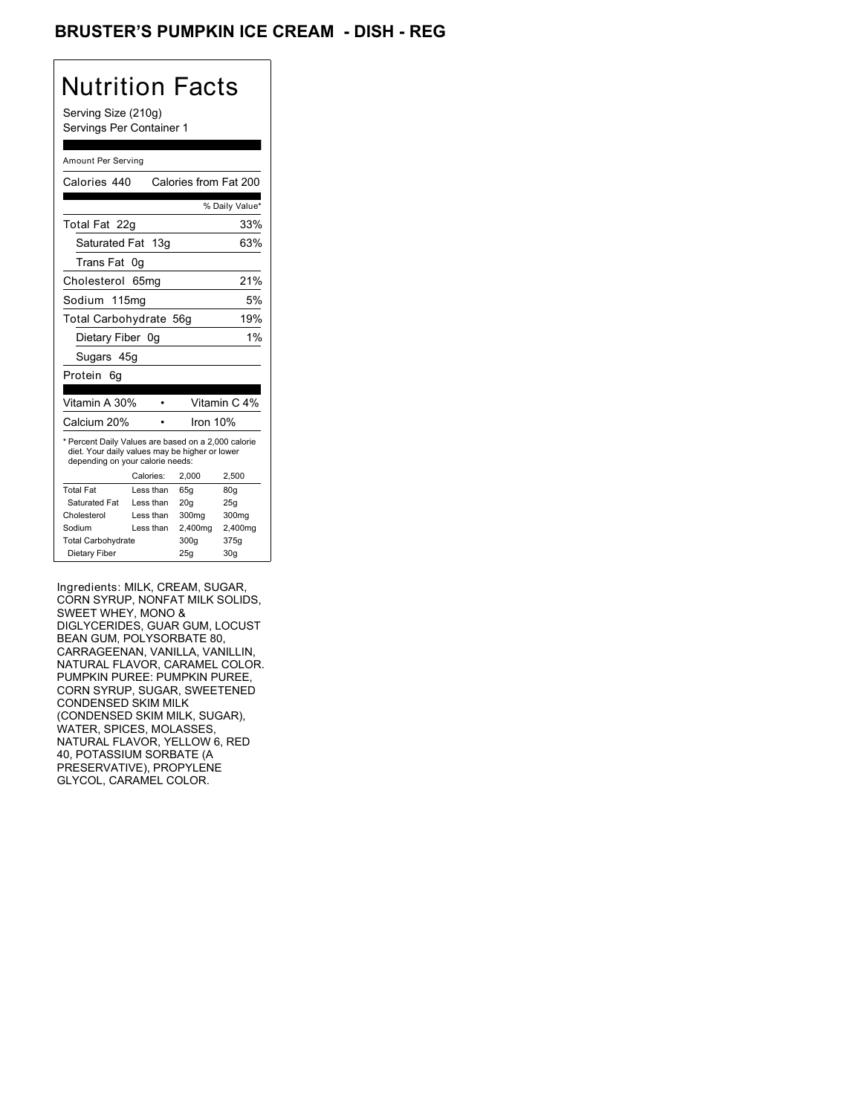### BRUSTER'S PUMPKIN ICE CREAM - DISH - REG

## Nutrition Facts

Serving Size (210g) Servings Per Container 1

#### Amount Per Serving

| Calories 440                                                                                                                              |           | Calories from Fat 200 |                 |
|-------------------------------------------------------------------------------------------------------------------------------------------|-----------|-----------------------|-----------------|
|                                                                                                                                           |           |                       | % Daily Value*  |
| Total Fat 22g                                                                                                                             |           |                       | 33%             |
| Saturated Fat 13g                                                                                                                         |           |                       | 63%             |
| Trans Fat                                                                                                                                 | 0g        |                       |                 |
| Cholesterol                                                                                                                               | 65mq      |                       | 21%             |
| Sodium 115ma                                                                                                                              |           |                       | 5%              |
| Total Carbohydrate 56g                                                                                                                    |           |                       | 19%             |
| Dietary Fiber 0g                                                                                                                          |           |                       | 1%              |
| Sugars 45g                                                                                                                                |           |                       |                 |
| Protein<br>6g                                                                                                                             |           |                       |                 |
|                                                                                                                                           |           |                       |                 |
| Vitamin A 30%                                                                                                                             |           |                       | Vitamin C 4%    |
| Calcium 20%                                                                                                                               |           | Iron 10%              |                 |
| * Percent Daily Values are based on a 2,000 calorie<br>diet. Your daily values may be higher or lower<br>depending on your calorie needs: |           |                       |                 |
|                                                                                                                                           | Calories: | 2.000                 | 2,500           |
| <b>Total Fat</b>                                                                                                                          | Less than | 65q                   | 80 <sub>g</sub> |
| Saturated Fat                                                                                                                             | Less than | 20 <sub>g</sub>       | 25g             |
|                                                                                                                                           |           |                       |                 |
| Cholesterol                                                                                                                               | Less than | 300mg                 | 300mg           |
| Sodium                                                                                                                                    | Less than | 2,400mg               | 2,400mg         |
| <b>Total Carbohydrate</b>                                                                                                                 |           | 300g                  | 375g            |

Ingredients: MILK, CREAM, SUGAR, CORN SYRUP, NONFAT MILK SOLIDS, SWEET WHEY, MONO & DIGLYCERIDES, GUAR GUM, LOCUST BEAN GUM, POLYSORBATE 80, CARRAGEENAN, VANILLA, VANILLIN, NATURAL FLAVOR, CARAMEL COLOR. PUMPKIN PUREE: PUMPKIN PUREE, CORN SYRUP, SUGAR, SWEETENED CONDENSED SKIM MILK (CONDENSED SKIM MILK, SUGAR), WATER, SPICES, MOLASSES, NATURAL FLAVOR, YELLOW 6, RED 40, POTASSIUM SORBATE (A PRESERVATIVE), PROPYLENE GLYCOL, CARAMEL COLOR.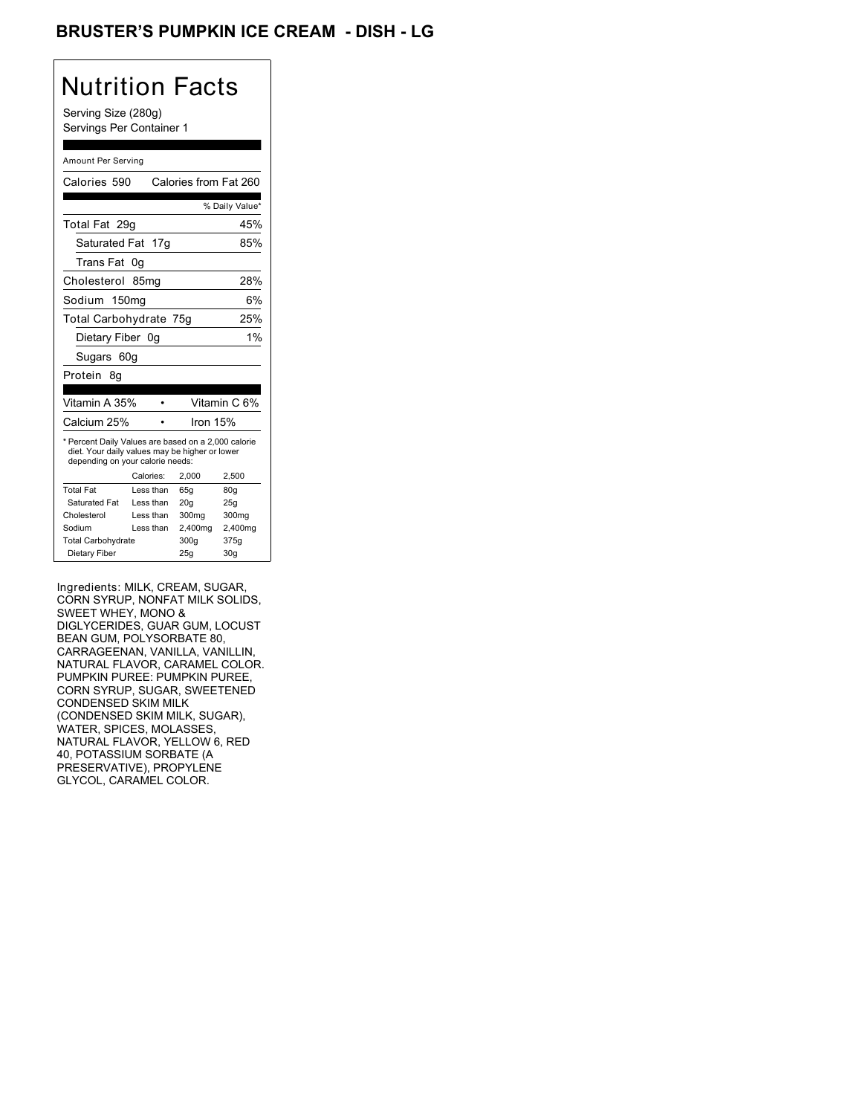## BRUSTER'S PUMPKIN ICE CREAM - DISH - LG

# Nutrition Facts

Serving Size (280g) Servings Per Container 1

#### Amount Per Serving

| Calories 590                                                                                                                              |                  | Calories from Fat 260 |                |
|-------------------------------------------------------------------------------------------------------------------------------------------|------------------|-----------------------|----------------|
|                                                                                                                                           |                  |                       | % Daily Value* |
| Total Fat 29q                                                                                                                             |                  |                       | 45%            |
| Saturated Fat 17g                                                                                                                         |                  |                       | 85%            |
| Trans Fat                                                                                                                                 | 0g               |                       |                |
| Cholesterol                                                                                                                               | 85 <sub>mg</sub> |                       | 28%            |
| Sodium 150mg                                                                                                                              |                  |                       | 6%             |
| Total Carbohydrate 75g                                                                                                                    |                  |                       | 25%            |
| Dietary Fiber 0q                                                                                                                          |                  |                       | 1%             |
| Sugars 60g                                                                                                                                |                  |                       |                |
| Protein<br>8g                                                                                                                             |                  |                       |                |
|                                                                                                                                           |                  |                       |                |
| Vitamin A 35%                                                                                                                             |                  |                       | Vitamin C 6%   |
| Calcium 25%                                                                                                                               |                  | Iron 15%              |                |
| * Percent Daily Values are based on a 2,000 calorie<br>diet. Your daily values may be higher or lower<br>depending on your calorie needs: |                  |                       |                |
|                                                                                                                                           | Calories:        | 2.000                 | 2.500          |
| <b>Total Fat</b>                                                                                                                          | Less than        | 65q                   | 80g            |
| Saturated Fat                                                                                                                             | Less than        | 20q                   | 25q            |
| Cholesterol                                                                                                                               | Less than        | 300mg                 | 300mg          |
| Sodium                                                                                                                                    | Less than        | 2,400mg               | 2,400mg        |
| <b>Total Carbohydrate</b>                                                                                                                 |                  | 300g                  | 375g           |
|                                                                                                                                           |                  |                       |                |

Ingredients: MILK, CREAM, SUGAR, CORN SYRUP, NONFAT MILK SOLIDS, SWEET WHEY, MONO & DIGLYCERIDES, GUAR GUM, LOCUST BEAN GUM, POLYSORBATE 80, CARRAGEENAN, VANILLA, VANILLIN, NATURAL FLAVOR, CARAMEL COLOR. PUMPKIN PUREE: PUMPKIN PUREE, CORN SYRUP, SUGAR, SWEETENED CONDENSED SKIM MILK (CONDENSED SKIM MILK, SUGAR), WATER, SPICES, MOLASSES, NATURAL FLAVOR, YELLOW 6, RED 40, POTASSIUM SORBATE (A PRESERVATIVE), PROPYLENE GLYCOL, CARAMEL COLOR.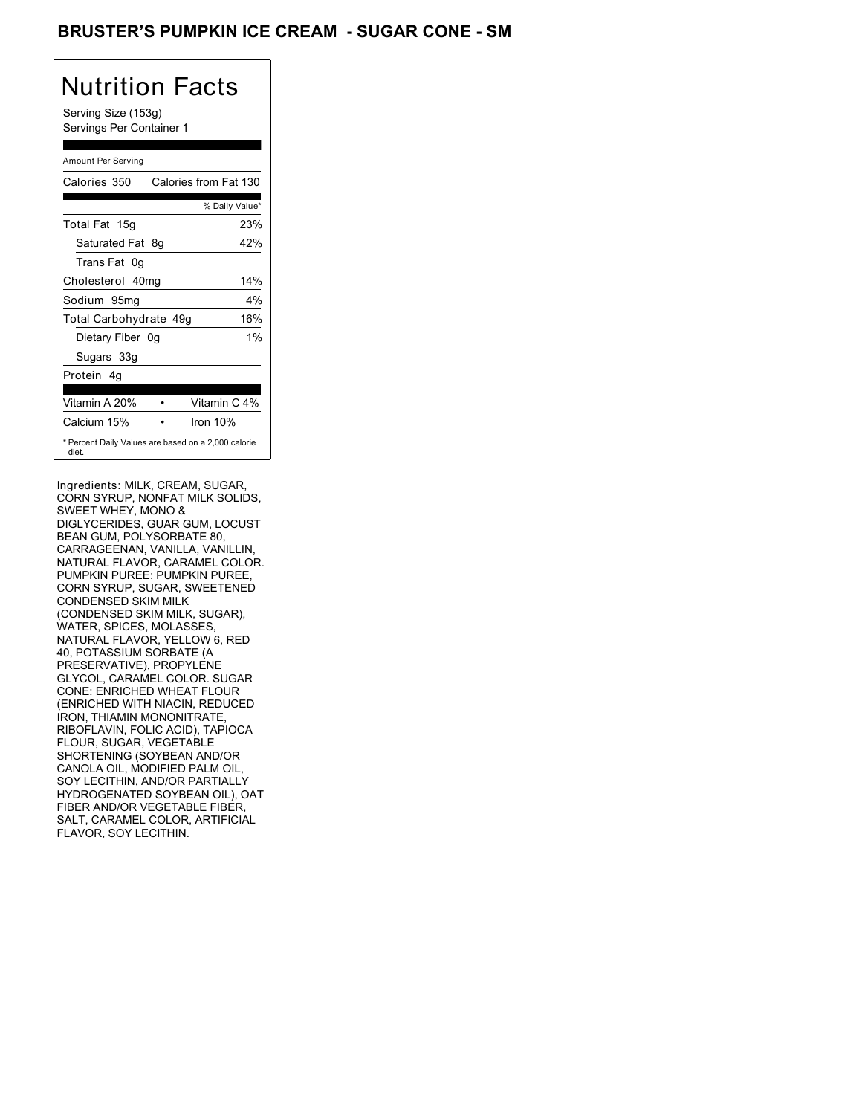### BRUSTER'S PUMPKIN ICE CREAM - SUGAR CONE - SM

## Nutrition Facts

Serving Size (153g) Servings Per Container 1

#### Amount Per Serving

| Calories 350           |    | Calories from Fat 130                               |  |
|------------------------|----|-----------------------------------------------------|--|
|                        |    | % Daily Value*                                      |  |
| Total Fat 15g          |    | 23%                                                 |  |
| Saturated Fat          | 8g | 42%                                                 |  |
| Trans Fat 0q           |    |                                                     |  |
| Cholesterol 40mg       |    | 14%                                                 |  |
| Sodium 95mg            |    | $4\%$                                               |  |
| Total Carbohydrate 49g |    | 16%                                                 |  |
| Dietary Fiber 0g       |    | $1\%$                                               |  |
| Sugars 33g             |    |                                                     |  |
| Protein 4q             |    |                                                     |  |
| Vitamin A 20%          |    | Vitamin C 4%                                        |  |
| Calcium 15%            |    | Iron $10%$                                          |  |
| diet.                  |    | * Percent Daily Values are based on a 2,000 calorie |  |

Ingredients: MILK, CREAM, SUGAR, CORN SYRUP, NONFAT MILK SOLIDS, SWEET WHEY, MONO & DIGLYCERIDES, GUAR GUM, LOCUST BEAN GUM, POLYSORBATE 80, CARRAGEENAN, VANILLA, VANILLIN, NATURAL FLAVOR, CARAMEL COLOR. PUMPKIN PUREE: PUMPKIN PUREE, CORN SYRUP, SUGAR, SWEETENED CONDENSED SKIM MILK (CONDENSED SKIM MILK, SUGAR), WATER, SPICES, MOLASSES, NATURAL FLAVOR, YELLOW 6, RED 40, POTASSIUM SORBATE (A PRESERVATIVE), PROPYLENE GLYCOL, CARAMEL COLOR. SUGAR CONE: ENRICHED WHEAT FLOUR (ENRICHED WITH NIACIN, REDUCED IRON, THIAMIN MONONITRATE, RIBOFLAVIN, FOLIC ACID), TAPIOCA FLOUR, SUGAR, VEGETABLE SHORTENING (SOYBEAN AND/OR CANOLA OIL, MODIFIED PALM OIL, SOY LECITHIN, AND/OR PARTIALLY HYDROGENATED SOYBEAN OIL), OAT FIBER AND/OR VEGETABLE FIBER, SALT, CARAMEL COLOR, ARTIFICIAL FLAVOR, SOY LECITHIN.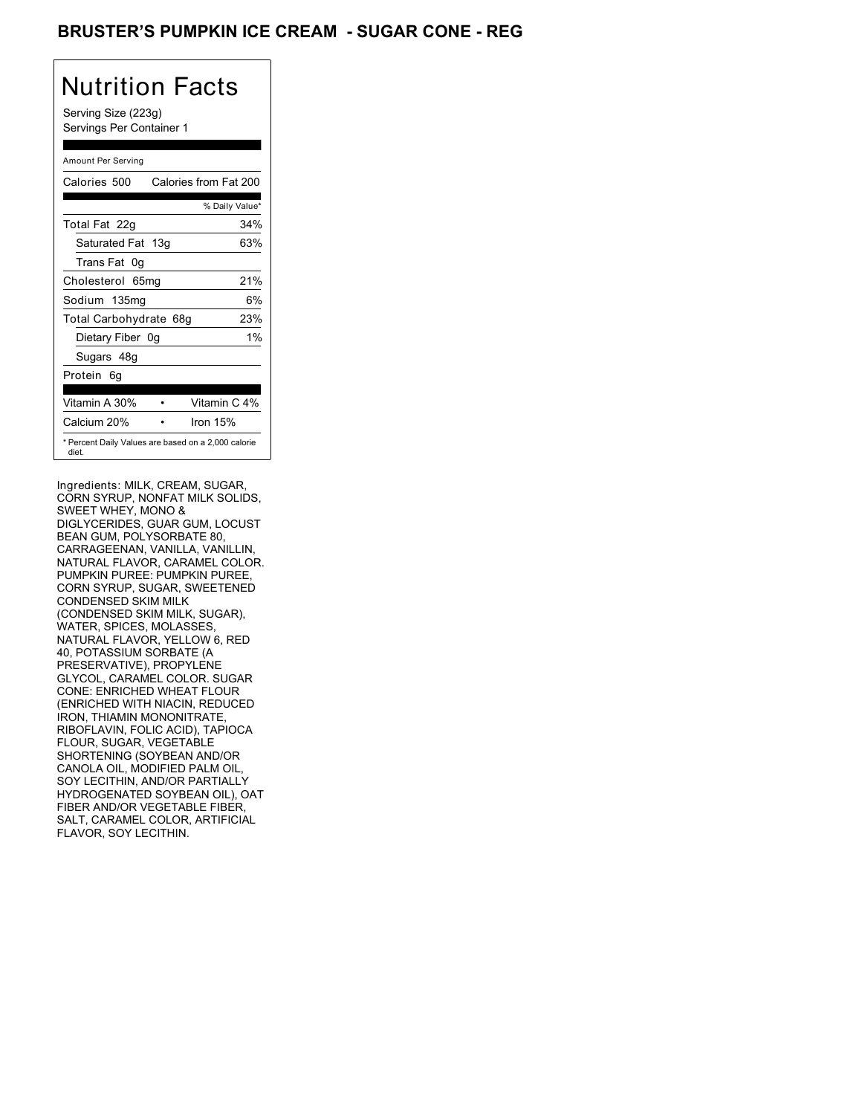### BRUSTER'S PUMPKIN ICE CREAM - SUGAR CONE - REG

## Nutrition Facts

Serving Size (223g) Servings Per Container 1

#### Amount Per Serving

| Calories 500                                                 | Calories from Fat 200 |
|--------------------------------------------------------------|-----------------------|
|                                                              | % Daily Value*        |
| Total Fat 22g                                                | 34%                   |
| Saturated Fat 13g                                            | 63%                   |
| Trans Fat 0q                                                 |                       |
| Cholesterol 65mg                                             | 21%                   |
| Sodium 135mg                                                 | 6%                    |
| Total Carbohydrate 68g                                       | 23%                   |
| Dietary Fiber 0g                                             | $1\%$                 |
| Sugars 48g                                                   |                       |
| Protein 6q                                                   |                       |
| Vitamin A 30%                                                | Vitamin C 4%          |
| Calcium 20%                                                  | Iron $15%$            |
| * Percent Daily Values are based on a 2,000 calorie<br>diet. |                       |

Ingredients: MILK, CREAM, SUGAR, CORN SYRUP, NONFAT MILK SOLIDS, SWEET WHEY, MONO & DIGLYCERIDES, GUAR GUM, LOCUST BEAN GUM, POLYSORBATE 80, CARRAGEENAN, VANILLA, VANILLIN, NATURAL FLAVOR, CARAMEL COLOR. PUMPKIN PUREE: PUMPKIN PUREE, CORN SYRUP, SUGAR, SWEETENED CONDENSED SKIM MILK (CONDENSED SKIM MILK, SUGAR), WATER, SPICES, MOLASSES, NATURAL FLAVOR, YELLOW 6, RED 40, POTASSIUM SORBATE (A PRESERVATIVE), PROPYLENE GLYCOL, CARAMEL COLOR. SUGAR CONE: ENRICHED WHEAT FLOUR (ENRICHED WITH NIACIN, REDUCED IRON, THIAMIN MONONITRATE, RIBOFLAVIN, FOLIC ACID), TAPIOCA FLOUR, SUGAR, VEGETABLE SHORTENING (SOYBEAN AND/OR CANOLA OIL, MODIFIED PALM OIL, SOY LECITHIN, AND/OR PARTIALLY HYDROGENATED SOYBEAN OIL), OAT FIBER AND/OR VEGETABLE FIBER, SALT, CARAMEL COLOR, ARTIFICIAL FLAVOR, SOY LECITHIN.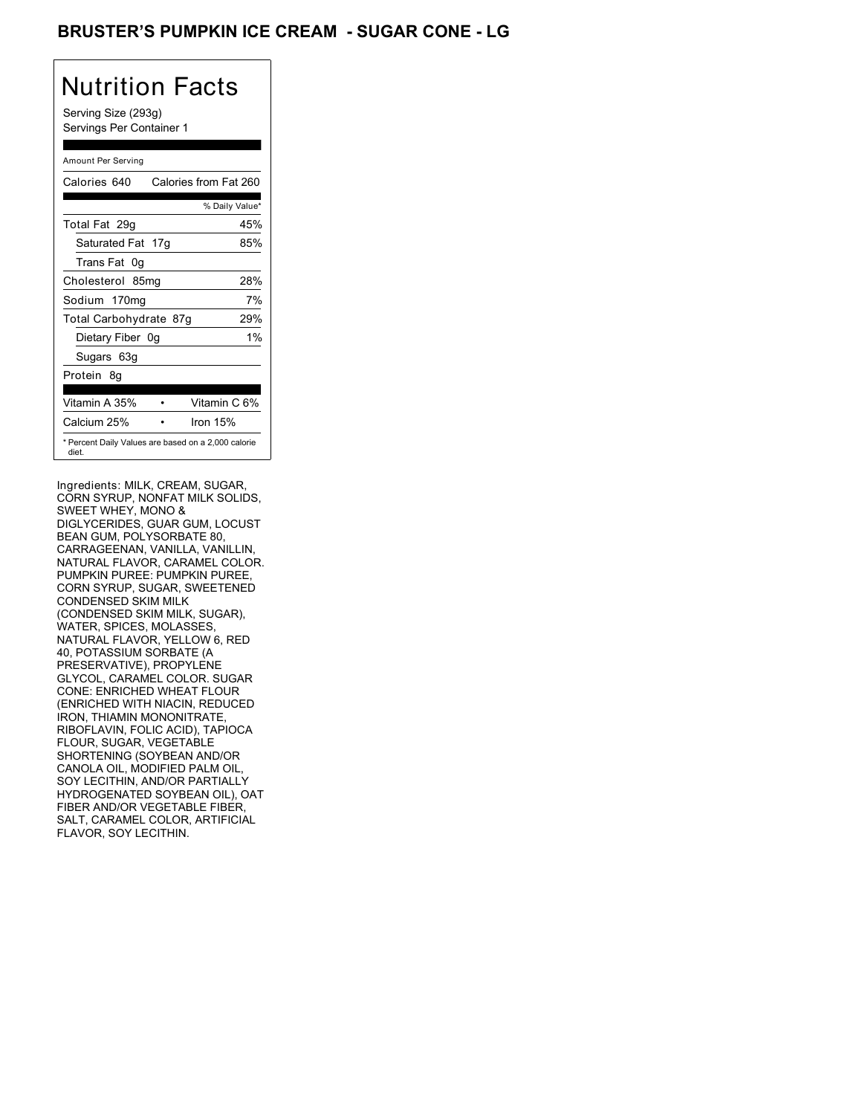## BRUSTER'S PUMPKIN ICE CREAM - SUGAR CONE - LG

## Nutrition Facts

Serving Size (293g) Servings Per Container 1

#### Amount Per Serving

| Calories 640           | Calories from Fat 260                               |
|------------------------|-----------------------------------------------------|
|                        | % Daily Value*                                      |
| Total Fat 29q          | 45%                                                 |
| Saturated Fat 17g      | 85%                                                 |
| Trans Fat 0q           |                                                     |
| Cholesterol 85mg       | 28%                                                 |
| Sodium 170mg           | 7%                                                  |
| Total Carbohydrate 87g | 29%                                                 |
| Dietary Fiber 0g       | $1\%$                                               |
| Sugars 63g             |                                                     |
| Protein 8q             |                                                     |
| Vitamin A 35%          | Vitamin C 6%                                        |
| Calcium 25%            | Iron $15%$                                          |
| diet.                  | * Percent Daily Values are based on a 2,000 calorie |

Ingredients: MILK, CREAM, SUGAR, CORN SYRUP, NONFAT MILK SOLIDS, SWEET WHEY, MONO & DIGLYCERIDES, GUAR GUM, LOCUST BEAN GUM, POLYSORBATE 80, CARRAGEENAN, VANILLA, VANILLIN, NATURAL FLAVOR, CARAMEL COLOR. PUMPKIN PUREE: PUMPKIN PUREE, CORN SYRUP, SUGAR, SWEETENED CONDENSED SKIM MILK (CONDENSED SKIM MILK, SUGAR), WATER, SPICES, MOLASSES, NATURAL FLAVOR, YELLOW 6, RED 40, POTASSIUM SORBATE (A PRESERVATIVE), PROPYLENE GLYCOL, CARAMEL COLOR. SUGAR CONE: ENRICHED WHEAT FLOUR (ENRICHED WITH NIACIN, REDUCED IRON, THIAMIN MONONITRATE, RIBOFLAVIN, FOLIC ACID), TAPIOCA FLOUR, SUGAR, VEGETABLE SHORTENING (SOYBEAN AND/OR CANOLA OIL, MODIFIED PALM OIL, SOY LECITHIN, AND/OR PARTIALLY HYDROGENATED SOYBEAN OIL), OAT FIBER AND/OR VEGETABLE FIBER, SALT, CARAMEL COLOR, ARTIFICIAL FLAVOR, SOY LECITHIN.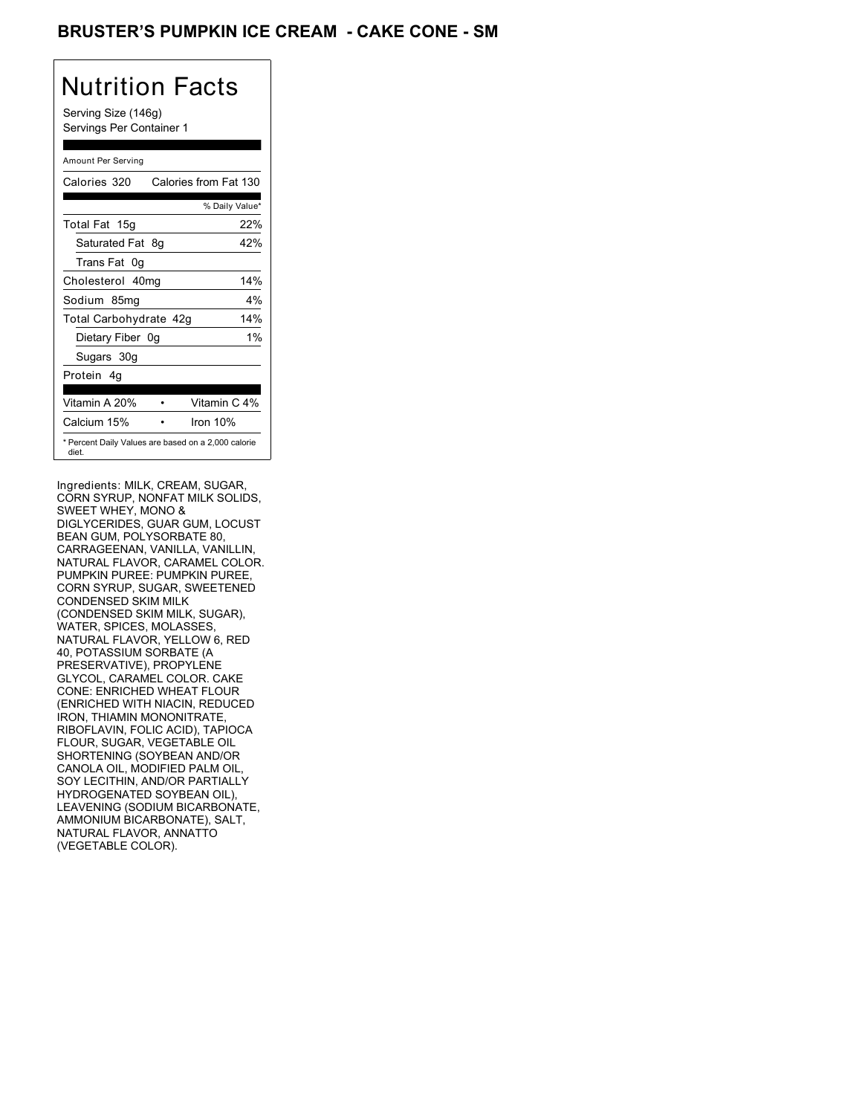## BRUSTER'S PUMPKIN ICE CREAM **- CAKE CONE - SM**

# Nutrition Facts

Serving Size (146g) Servings Per Container 1

#### Amount Per Serving

| Calories 320           | Calories from Fat 130                               |
|------------------------|-----------------------------------------------------|
|                        | % Daily Value*                                      |
| Total Fat 15g          | 22%                                                 |
| Saturated Fat 8g       | 42%                                                 |
| Trans Fat 0q           |                                                     |
| Cholesterol 40mg       | 14%                                                 |
| Sodium 85mg            | $4\%$                                               |
| Total Carbohydrate 42g | 14%                                                 |
| Dietary Fiber 0g       | $1\%$                                               |
| Sugars 30g             |                                                     |
| Protein 4q             |                                                     |
| Vitamin A 20%          | Vitamin C 4%                                        |
| Calcium 15%            | Iron 10%                                            |
| diet.                  | * Percent Daily Values are based on a 2,000 calorie |

Ingredients: MILK, CREAM, SUGAR, CORN SYRUP, NONFAT MILK SOLIDS, SWEET WHEY, MONO & DIGLYCERIDES, GUAR GUM, LOCUST BEAN GUM, POLYSORBATE 80, CARRAGEENAN, VANILLA, VANILLIN, NATURAL FLAVOR, CARAMEL COLOR. PUMPKIN PUREE: PUMPKIN PUREE, CORN SYRUP, SUGAR, SWEETENED CONDENSED SKIM MILK (CONDENSED SKIM MILK, SUGAR), WATER, SPICES, MOLASSES, NATURAL FLAVOR, YELLOW 6, RED 40, POTASSIUM SORBATE (A PRESERVATIVE), PROPYLENE GLYCOL, CARAMEL COLOR. CAKE CONE: ENRICHED WHEAT FLOUR (ENRICHED WITH NIACIN, REDUCED IRON, THIAMIN MONONITRATE, RIBOFLAVIN, FOLIC ACID), TAPIOCA FLOUR, SUGAR, VEGETABLE OIL SHORTENING (SOYBEAN AND/OR CANOLA OIL, MODIFIED PALM OIL, SOY LECITHIN, AND/OR PARTIALLY HYDROGENATED SOYBEAN OIL), LEAVENING (SODIUM BICARBONATE, AMMONIUM BICARBONATE), SALT, NATURAL FLAVOR, ANNATTO (VEGETABLE COLOR).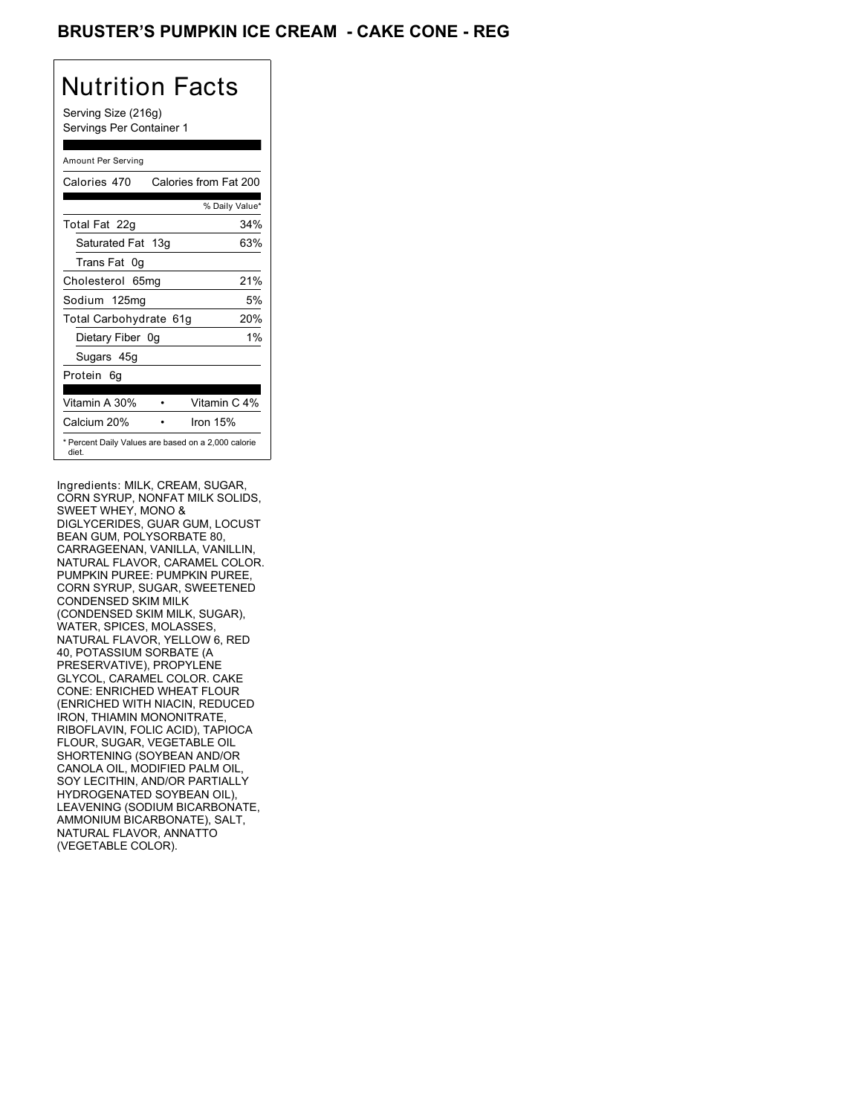## BRUSTER'S PUMPKIN ICE CREAM **- CAKE CONE - REG**

# Nutrition Facts

Serving Size (216g) Servings Per Container 1

#### Amount Per Serving

| Calories 470           | Calories from Fat 200                               |
|------------------------|-----------------------------------------------------|
|                        | % Daily Value*                                      |
| Total Fat 22g          | 34%                                                 |
| Saturated Fat 13g      | 63%                                                 |
| Trans Fat 0q           |                                                     |
| Cholesterol 65mg       | 21%                                                 |
| Sodium 125mg           | 5%                                                  |
| Total Carbohydrate 61g | 20%                                                 |
| Dietary Fiber 0g       | $1\%$                                               |
| Sugars 45g             |                                                     |
| Protein 6q             |                                                     |
| Vitamin A 30%          | Vitamin C 4%                                        |
| Calcium 20%            | Iron 15%                                            |
| diet.                  | * Percent Daily Values are based on a 2,000 calorie |

Ingredients: MILK, CREAM, SUGAR, CORN SYRUP, NONFAT MILK SOLIDS, SWEET WHEY, MONO & DIGLYCERIDES, GUAR GUM, LOCUST BEAN GUM, POLYSORBATE 80, CARRAGEENAN, VANILLA, VANILLIN, NATURAL FLAVOR, CARAMEL COLOR. PUMPKIN PUREE: PUMPKIN PUREE, CORN SYRUP, SUGAR, SWEETENED CONDENSED SKIM MILK (CONDENSED SKIM MILK, SUGAR), WATER, SPICES, MOLASSES, NATURAL FLAVOR, YELLOW 6, RED 40, POTASSIUM SORBATE (A PRESERVATIVE), PROPYLENE GLYCOL, CARAMEL COLOR. CAKE CONE: ENRICHED WHEAT FLOUR (ENRICHED WITH NIACIN, REDUCED IRON, THIAMIN MONONITRATE, RIBOFLAVIN, FOLIC ACID), TAPIOCA FLOUR, SUGAR, VEGETABLE OIL SHORTENING (SOYBEAN AND/OR CANOLA OIL, MODIFIED PALM OIL, SOY LECITHIN, AND/OR PARTIALLY HYDROGENATED SOYBEAN OIL), LEAVENING (SODIUM BICARBONATE, AMMONIUM BICARBONATE), SALT, NATURAL FLAVOR, ANNATTO (VEGETABLE COLOR).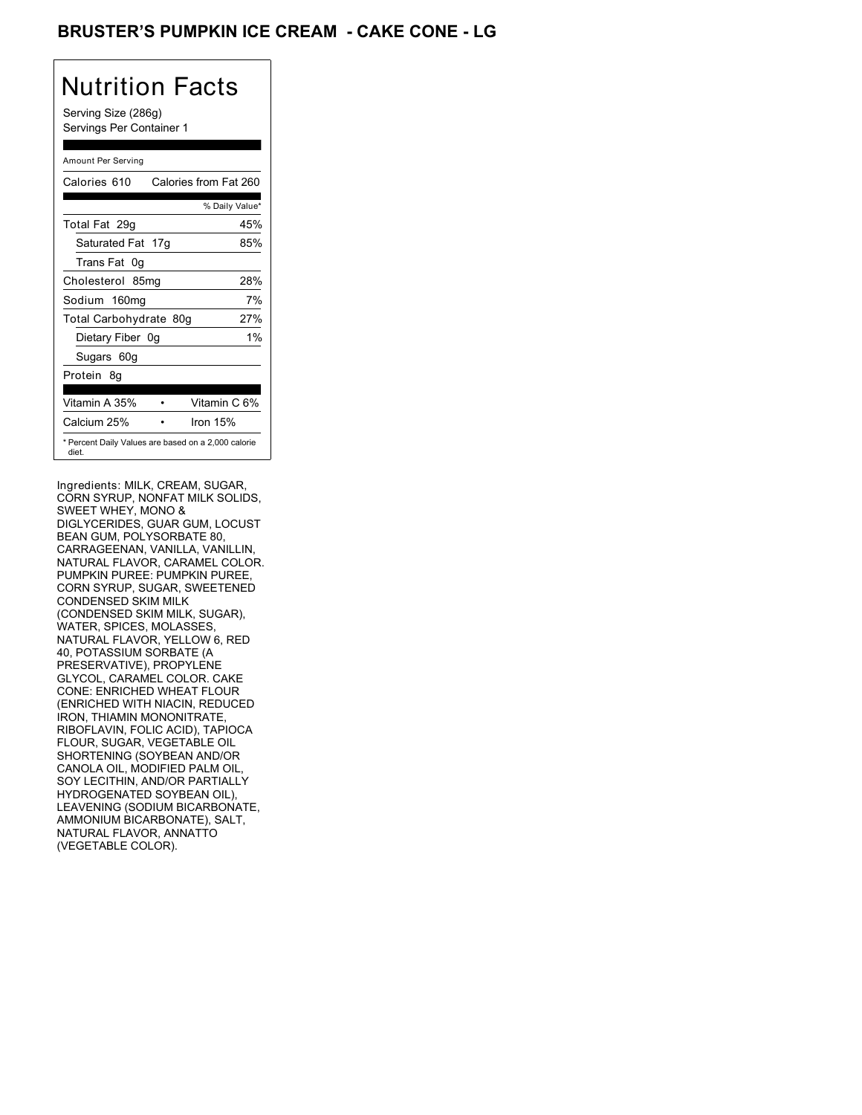## BRUSTER'S PUMPKIN ICE CREAM **- CAKE CONE - LG**

# Nutrition Facts

Serving Size (286g) Servings Per Container 1

#### Amount Per Serving

| Calories 610                                                 | Calories from Fat 260 |
|--------------------------------------------------------------|-----------------------|
|                                                              | % Daily Value*        |
| Total Fat 29q                                                | 45%                   |
| Saturated Fat 17g                                            | 85%                   |
| Trans Fat 0q                                                 |                       |
| Cholesterol 85mg                                             | 28%                   |
| Sodium 160mg                                                 | 7%                    |
| Total Carbohydrate 80g                                       | 27%                   |
| Dietary Fiber 0g                                             | $1\%$                 |
| Sugars 60g                                                   |                       |
| Protein 8q                                                   |                       |
| Vitamin A 35%                                                | Vitamin C 6%          |
| Calcium 25%                                                  | Iron $15%$            |
| * Percent Daily Values are based on a 2,000 calorie<br>diet. |                       |

Ingredients: MILK, CREAM, SUGAR, CORN SYRUP, NONFAT MILK SOLIDS, SWEET WHEY, MONO & DIGLYCERIDES, GUAR GUM, LOCUST BEAN GUM, POLYSORBATE 80, CARRAGEENAN, VANILLA, VANILLIN, NATURAL FLAVOR, CARAMEL COLOR. PUMPKIN PUREE: PUMPKIN PUREE, CORN SYRUP, SUGAR, SWEETENED CONDENSED SKIM MILK (CONDENSED SKIM MILK, SUGAR), WATER, SPICES, MOLASSES, NATURAL FLAVOR, YELLOW 6, RED 40, POTASSIUM SORBATE (A PRESERVATIVE), PROPYLENE GLYCOL, CARAMEL COLOR. CAKE CONE: ENRICHED WHEAT FLOUR (ENRICHED WITH NIACIN, REDUCED IRON, THIAMIN MONONITRATE, RIBOFLAVIN, FOLIC ACID), TAPIOCA FLOUR, SUGAR, VEGETABLE OIL SHORTENING (SOYBEAN AND/OR CANOLA OIL, MODIFIED PALM OIL, SOY LECITHIN, AND/OR PARTIALLY HYDROGENATED SOYBEAN OIL), LEAVENING (SODIUM BICARBONATE, AMMONIUM BICARBONATE), SALT, NATURAL FLAVOR, ANNATTO (VEGETABLE COLOR).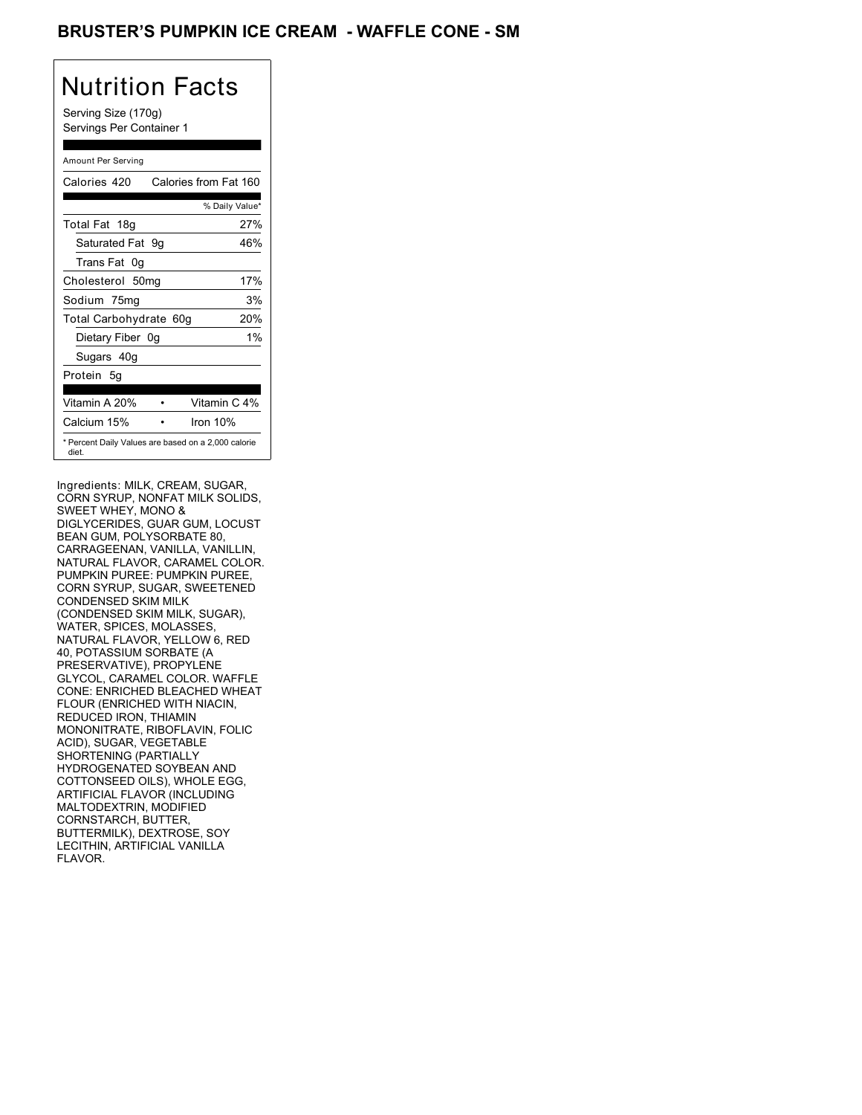### BRUSTER'S PUMPKIN ICE CREAM - WAFFLE CONE - SM

# Nutrition Facts

Serving Size (170g) Servings Per Container 1

#### Amount Per Serving

| Calories 420           | Calories from Fat 160                               |
|------------------------|-----------------------------------------------------|
|                        | % Daily Value*                                      |
| Total Fat 18g          | 27%                                                 |
| Saturated Fat 9q       | 46%                                                 |
| Trans Fat 0q           |                                                     |
| Cholesterol 50mg       | 17%                                                 |
| Sodium 75mg            | 3%                                                  |
| Total Carbohydrate 60g | 20%                                                 |
| Dietary Fiber 0g       | $1\%$                                               |
| Sugars 40g             |                                                     |
| Protein 5q             |                                                     |
| Vitamin A 20%          | Vitamin C 4%                                        |
| Calcium 15%            | Iron 10%                                            |
| diet.                  | * Percent Daily Values are based on a 2,000 calorie |

Ingredients: MILK, CREAM, SUGAR, CORN SYRUP, NONFAT MILK SOLIDS, SWEET WHEY, MONO & DIGLYCERIDES, GUAR GUM, LOCUST BEAN GUM, POLYSORBATE 80, CARRAGEENAN, VANILLA, VANILLIN, NATURAL FLAVOR, CARAMEL COLOR. PUMPKIN PUREE: PUMPKIN PUREE, CORN SYRUP, SUGAR, SWEETENED CONDENSED SKIM MILK (CONDENSED SKIM MILK, SUGAR), WATER, SPICES, MOLASSES, NATURAL FLAVOR, YELLOW 6, RED 40, POTASSIUM SORBATE (A PRESERVATIVE), PROPYLENE GLYCOL, CARAMEL COLOR. WAFFLE CONE: ENRICHED BLEACHED WHEAT FLOUR (ENRICHED WITH NIACIN, REDUCED IRON, THIAMIN MONONITRATE, RIBOFLAVIN, FOLIC ACID), SUGAR, VEGETABLE SHORTENING (PARTIALLY HYDROGENATED SOYBEAN AND COTTONSEED OILS), WHOLE EGG, ARTIFICIAL FLAVOR (INCLUDING MALTODEXTRIN, MODIFIED CORNSTARCH, BUTTER, BUTTERMILK), DEXTROSE, SOY LECITHIN, ARTIFICIAL VANILLA FLAVOR.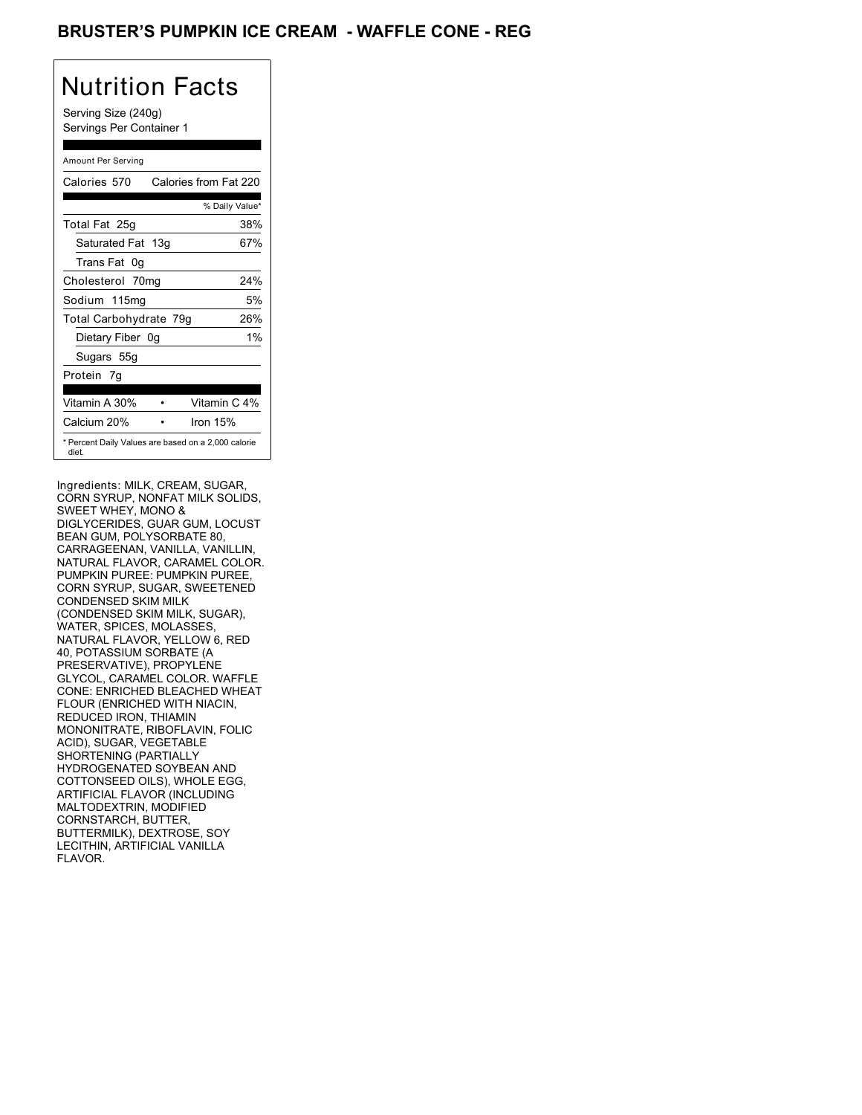### BRUSTER'S PUMPKIN ICE CREAM - WAFFLE CONE - REG

## Nutrition Facts

Serving Size (240g) Servings Per Container 1

#### Amount Per Serving

| Calories 570           | Calories from Fat 220                               |
|------------------------|-----------------------------------------------------|
|                        | % Daily Value*                                      |
| Total Fat 25g          | 38%                                                 |
| Saturated Fat 13g      | 67%                                                 |
| Trans Fat 0q           |                                                     |
| Cholesterol 70mg       | 24%                                                 |
| Sodium 115mg           | 5%                                                  |
| Total Carbohydrate 79g | 26%                                                 |
| Dietary Fiber 0g       | $1\%$                                               |
| Sugars 55g             |                                                     |
| Protein 7q             |                                                     |
| Vitamin A 30%          | Vitamin C 4%                                        |
| Calcium 20%            | Iron $15%$                                          |
| diet.                  | * Percent Daily Values are based on a 2,000 calorie |

Ingredients: MILK, CREAM, SUGAR, CORN SYRUP, NONFAT MILK SOLIDS, SWEET WHEY, MONO & DIGLYCERIDES, GUAR GUM, LOCUST BEAN GUM, POLYSORBATE 80, CARRAGEENAN, VANILLA, VANILLIN, NATURAL FLAVOR, CARAMEL COLOR. PUMPKIN PUREE: PUMPKIN PUREE, CORN SYRUP, SUGAR, SWEETENED CONDENSED SKIM MILK (CONDENSED SKIM MILK, SUGAR), WATER, SPICES, MOLASSES, NATURAL FLAVOR, YELLOW 6, RED 40, POTASSIUM SORBATE (A PRESERVATIVE), PROPYLENE GLYCOL, CARAMEL COLOR. WAFFLE CONE: ENRICHED BLEACHED WHEAT FLOUR (ENRICHED WITH NIACIN, REDUCED IRON, THIAMIN MONONITRATE, RIBOFLAVIN, FOLIC ACID), SUGAR, VEGETABLE SHORTENING (PARTIALLY HYDROGENATED SOYBEAN AND COTTONSEED OILS), WHOLE EGG, ARTIFICIAL FLAVOR (INCLUDING MALTODEXTRIN, MODIFIED CORNSTARCH, BUTTER, BUTTERMILK), DEXTROSE, SOY LECITHIN, ARTIFICIAL VANILLA FLAVOR.